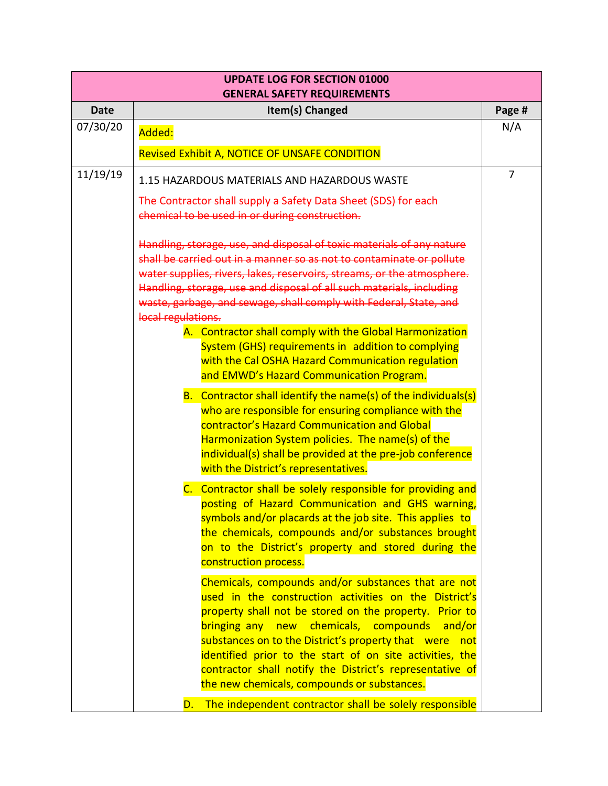| <b>UPDATE LOG FOR SECTION 01000</b><br><b>GENERAL SAFETY REQUIREMENTS</b> |                                                                                                                                               |                |  |  |
|---------------------------------------------------------------------------|-----------------------------------------------------------------------------------------------------------------------------------------------|----------------|--|--|
| <b>Date</b>                                                               | Item(s) Changed                                                                                                                               | Page #         |  |  |
| 07/30/20                                                                  | Added:                                                                                                                                        | N/A            |  |  |
|                                                                           | Revised Exhibit A, NOTICE OF UNSAFE CONDITION                                                                                                 |                |  |  |
| 11/19/19                                                                  | 1.15 HAZARDOUS MATERIALS AND HAZARDOUS WASTE                                                                                                  | $\overline{7}$ |  |  |
|                                                                           | The Contractor shall supply a Safety Data Sheet (SDS) for each                                                                                |                |  |  |
|                                                                           | chemical to be used in or during construction.                                                                                                |                |  |  |
|                                                                           | Handling, storage, use, and disposal of toxic materials of any nature<br>shall be carried out in a manner so as not to contaminate or pollute |                |  |  |
|                                                                           | water supplies, rivers, lakes, reservoirs, streams, or the atmosphere.                                                                        |                |  |  |
|                                                                           | Handling, storage, use and disposal of all such materials, including                                                                          |                |  |  |
|                                                                           | waste, garbage, and sewage, shall comply with Federal, State, and                                                                             |                |  |  |
|                                                                           | local regulations.                                                                                                                            |                |  |  |
|                                                                           | A. Contractor shall comply with the Global Harmonization<br>System (GHS) requirements in addition to complying                                |                |  |  |
|                                                                           | with the Cal OSHA Hazard Communication regulation                                                                                             |                |  |  |
|                                                                           | and EMWD's Hazard Communication Program.                                                                                                      |                |  |  |
|                                                                           | B. Contractor shall identify the name(s) of the individuals(s)                                                                                |                |  |  |
|                                                                           | who are responsible for ensuring compliance with the                                                                                          |                |  |  |
|                                                                           | contractor's Hazard Communication and Global<br>Harmonization System policies. The name(s) of the                                             |                |  |  |
|                                                                           | individual(s) shall be provided at the pre-job conference                                                                                     |                |  |  |
|                                                                           | with the District's representatives.                                                                                                          |                |  |  |
|                                                                           | C. Contractor shall be solely responsible for providing and                                                                                   |                |  |  |
|                                                                           | posting of Hazard Communication and GHS warning,                                                                                              |                |  |  |
|                                                                           | symbols and/or placards at the job site. This applies to                                                                                      |                |  |  |
|                                                                           | the chemicals, compounds and/or substances brought<br>on to the District's property and stored during the                                     |                |  |  |
|                                                                           | construction process.                                                                                                                         |                |  |  |
|                                                                           | Chemicals, compounds and/or substances that are not                                                                                           |                |  |  |
|                                                                           | used in the construction activities on the District's                                                                                         |                |  |  |
|                                                                           | property shall not be stored on the property. Prior to                                                                                        |                |  |  |
|                                                                           | bringing any new chemicals, compounds<br>and/or                                                                                               |                |  |  |
|                                                                           | substances on to the District's property that were<br>not<br>identified prior to the start of on site activities, the                         |                |  |  |
|                                                                           | contractor shall notify the District's representative of                                                                                      |                |  |  |
|                                                                           | the new chemicals, compounds or substances.                                                                                                   |                |  |  |
|                                                                           | The independent contractor shall be solely responsible<br>D.                                                                                  |                |  |  |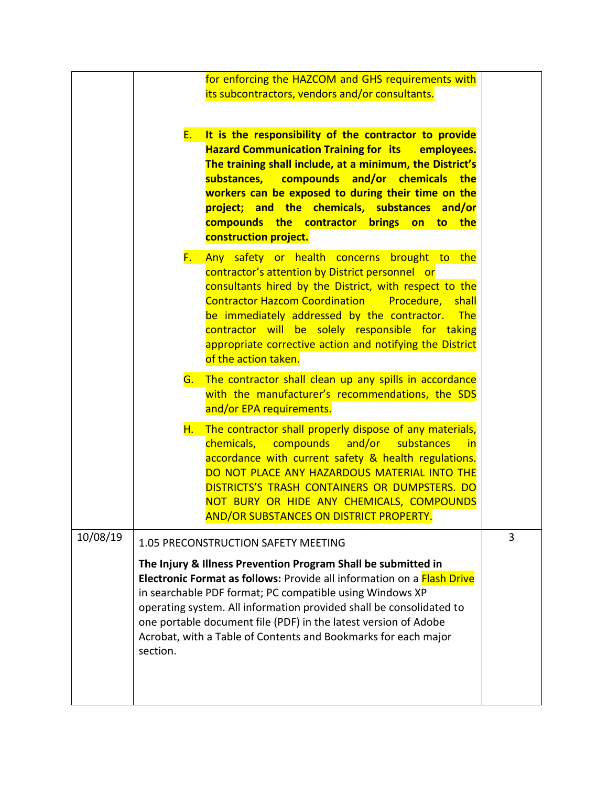|          | for enforcing the HAZCOM and GHS requirements with<br>its subcontractors, vendors and/or consultants.                                                                                                                                                                                                                                                                                                                                                                                                                                                                                                                                                                                                                                                                                     |   |
|----------|-------------------------------------------------------------------------------------------------------------------------------------------------------------------------------------------------------------------------------------------------------------------------------------------------------------------------------------------------------------------------------------------------------------------------------------------------------------------------------------------------------------------------------------------------------------------------------------------------------------------------------------------------------------------------------------------------------------------------------------------------------------------------------------------|---|
|          |                                                                                                                                                                                                                                                                                                                                                                                                                                                                                                                                                                                                                                                                                                                                                                                           |   |
|          | It is the responsibility of the contractor to provide<br><u>E.</u><br><b>Hazard Communication Training for its</b><br>employees.<br>The training shall include, at a minimum, the District's<br>substances, compounds and/or chemicals the<br>workers can be exposed to during their time on the<br>project; and the chemicals, substances<br>and/or<br>compounds the contractor brings on to the<br>construction project.<br>Any safety or health concerns brought to the<br>$F_{\star}$ .<br>contractor's attention by District personnel or<br>consultants hired by the District, with respect to the<br><b>Contractor Hazcom Coordination</b><br>Procedure,<br>shall<br>be immediately addressed by the contractor.<br><b>The</b><br>contractor will be solely responsible for taking |   |
|          | appropriate corrective action and notifying the District<br>of the action taken.                                                                                                                                                                                                                                                                                                                                                                                                                                                                                                                                                                                                                                                                                                          |   |
|          | The contractor shall clean up any spills in accordance<br>G.                                                                                                                                                                                                                                                                                                                                                                                                                                                                                                                                                                                                                                                                                                                              |   |
|          | with the manufacturer's recommendations, the SDS<br>and/or EPA requirements.                                                                                                                                                                                                                                                                                                                                                                                                                                                                                                                                                                                                                                                                                                              |   |
|          | The contractor shall properly dispose of any materials,<br>H.<br>chemicals, compounds<br>and/or<br>substances<br><u>in</u><br>accordance with current safety & health regulations.<br>DO NOT PLACE ANY HAZARDOUS MATERIAL INTO THE<br>DISTRICTS'S TRASH CONTAINERS OR DUMPSTERS. DO<br>NOT BURY OR HIDE ANY CHEMICALS, COMPOUNDS<br>AND/OR SUBSTANCES ON DISTRICT PROPERTY.                                                                                                                                                                                                                                                                                                                                                                                                               |   |
| 10/08/19 | 1.05 PRECONSTRUCTION SAFETY MEETING                                                                                                                                                                                                                                                                                                                                                                                                                                                                                                                                                                                                                                                                                                                                                       | 3 |
|          | The Injury & Illness Prevention Program Shall be submitted in<br>Electronic Format as follows: Provide all information on a Flash Drive<br>in searchable PDF format; PC compatible using Windows XP<br>operating system. All information provided shall be consolidated to<br>one portable document file (PDF) in the latest version of Adobe<br>Acrobat, with a Table of Contents and Bookmarks for each major<br>section.                                                                                                                                                                                                                                                                                                                                                               |   |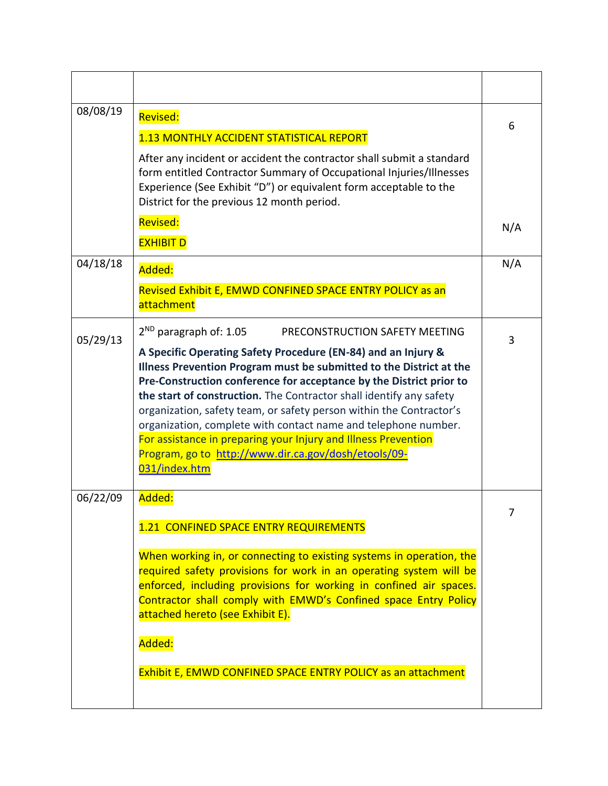| 08/08/19 | <b>Revised:</b><br>1.13 MONTHLY ACCIDENT STATISTICAL REPORT<br>After any incident or accident the contractor shall submit a standard<br>form entitled Contractor Summary of Occupational Injuries/Illnesses<br>Experience (See Exhibit "D") or equivalent form acceptable to the<br>District for the previous 12 month period.                                                                                                                                                                                                                                                                                                          | 6   |
|----------|-----------------------------------------------------------------------------------------------------------------------------------------------------------------------------------------------------------------------------------------------------------------------------------------------------------------------------------------------------------------------------------------------------------------------------------------------------------------------------------------------------------------------------------------------------------------------------------------------------------------------------------------|-----|
|          | <b>Revised:</b><br><b>EXHIBIT D</b>                                                                                                                                                                                                                                                                                                                                                                                                                                                                                                                                                                                                     | N/A |
| 04/18/18 | Added:<br>Revised Exhibit E, EMWD CONFINED SPACE ENTRY POLICY as an<br>attachment                                                                                                                                                                                                                                                                                                                                                                                                                                                                                                                                                       | N/A |
| 05/29/13 | $2^{ND}$ paragraph of: 1.05<br>PRECONSTRUCTION SAFETY MEETING<br>A Specific Operating Safety Procedure (EN-84) and an Injury &<br>Illness Prevention Program must be submitted to the District at the<br>Pre-Construction conference for acceptance by the District prior to<br>the start of construction. The Contractor shall identify any safety<br>organization, safety team, or safety person within the Contractor's<br>organization, complete with contact name and telephone number.<br>For assistance in preparing your Injury and Illness Prevention<br>Program, go to http://www.dir.ca.gov/dosh/etools/09-<br>031/index.htm | 3   |
| 06/22/09 | Added:<br>1.21 CONFINED SPACE ENTRY REQUIREMENTS<br>When working in, or connecting to existing systems in operation, the<br>required safety provisions for work in an operating system will be<br>enforced, including provisions for working in confined air spaces.<br>Contractor shall comply with EMWD's Confined space Entry Policy<br>attached hereto (see Exhibit E).<br>Added:<br>Exhibit E, EMWD CONFINED SPACE ENTRY POLICY as an attachment                                                                                                                                                                                   | 7   |